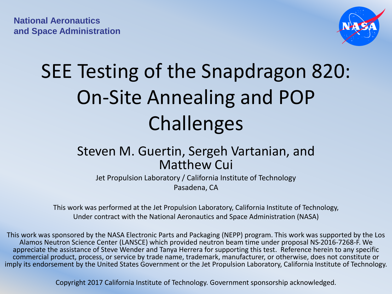

# SEE Testing of the Snapdragon 820: On-Site Annealing and POP Challenges

#### Steven M. Guertin, Sergeh Vartanian, and Matthew Cui

Jet Propulsion Laboratory / California Institute of Technology Pasadena, CA

This work was performed at the Jet Propulsion Laboratory, California Institute of Technology, Under contract with the National Aeronautics and Space Administration (NASA)

This work was sponsored by the NASA Electronic Parts and Packaging (NEPP) program. This work was supported by the Los Alamos Neutron Science Center (LANSCE) which provided neutron beam time under proposal NS-2016-7268-F. We appreciate the assistance of Steve Wender and Tanya Herrera for supporting this test. Reference herein to any specific commercial product, process, or service by trade name, trademark, manufacturer, or otherwise, does not constitute or imply its endorsement by the United States Government or the Jet Propulsion Laboratory, California Institute of Technology.

Copyright 2017 California Institute of Technology. Government sponsorship acknowledged.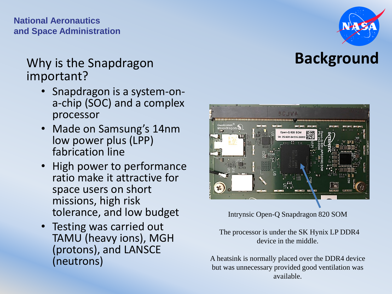**National Aeronautics and Space Administration** 

#### Why is the Snapdragon **Background** important?

- Snapdragon is a system-ona-chip (SOC) and a complex processor
- Made on Samsung's 14nm low power plus (LPP) fabrication line
- High power to performance ratio make it attractive for space users on short missions, high risk tolerance, and low budget
- Testing was carried out TAMU (heavy ions), MGH (protons), and LANSCE (neutrons)



Intrynsic Open-Q Snapdragon 820 SOM

The processor is under the SK Hynix LP DDR4 device in the middle.

A heatsink is normally placed over the DDR4 device but was unnecessary provided good ventilation was available.

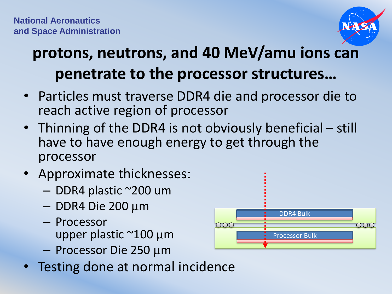

# **protons, neutrons, and 40 MeV/amu ions can penetrate to the processor structures…**

- Particles must traverse DDR4 die and processor die to reach active region of processor
- Thinning of the DDR4 is not obviously beneficial still have to have enough energy to get through the processor
- Approximate thicknesses:
	- DDR4 plastic ~200 um
	- $-$  DDR4 Die 200  $\mu$ m
	- Processor upper plastic  $\approx$ 100 µm
	- $-$  Processor Die 250  $\mu$ m
- Testing done at normal incidence

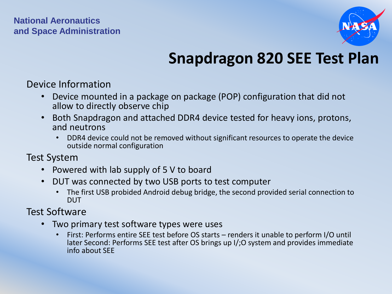#### **National Aeronautics and Space Administration**



## **Snapdragon 820 SEE Test Plan**

Device Information

- Device mounted in a package on package (POP) configuration that did not allow to directly observe chip
- Both Snapdragon and attached DDR4 device tested for heavy ions, protons, and neutrons
	- DDR4 device could not be removed without significant resources to operate the device outside normal configuration

Test System

- Powered with lab supply of 5 V to board
- DUT was connected by two USB ports to test computer
	- The first USB probided Android debug bridge, the second provided serial connection to DUT

Test Software

- Two primary test software types were uses
	- First: Performs entire SEE test before OS starts renders it unable to perform I/O until later Second: Performs SEE test after OS brings up I/;O system and provides immediate info about SEE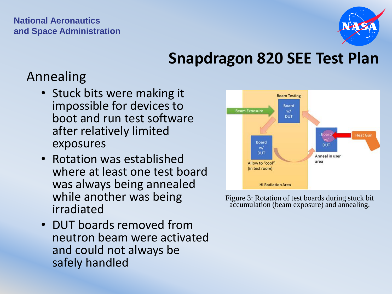

#### **Snapdragon 820 SEE Test Plan**

#### Annealing

- Stuck bits were making it impossible for devices to boot and run test software after relatively limited exposures
- Rotation was established where at least one test board was always being annealed while another was being irradiated
- DUT boards removed from neutron beam were activated and could not always be safely handled



Figure 3: Rotation of test boards during stuck bit accumulation (beam exposure) and annealing.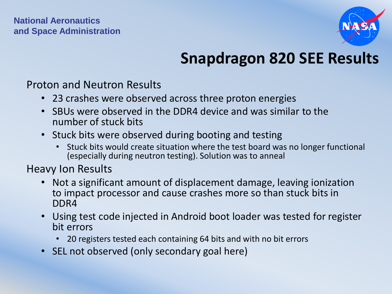

## **Snapdragon 820 SEE Results**

Proton and Neutron Results

- 23 crashes were observed across three proton energies
- SBUs were observed in the DDR4 device and was similar to the number of stuck bits
- Stuck bits were observed during booting and testing
	- Stuck bits would create situation where the test board was no longer functional (especially during neutron testing). Solution was to anneal

Heavy Ion Results

- Not a significant amount of displacement damage, leaving ionization to impact processor and cause crashes more so than stuck bits in DDR4
- Using test code injected in Android boot loader was tested for register bit errors
	- 20 registers tested each containing 64 bits and with no bit errors
- SEL not observed (only secondary goal here)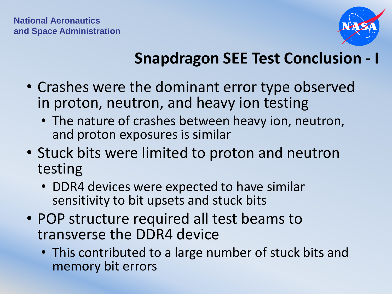

# **Snapdragon SEE Test Conclusion - I**

- Crashes were the dominant error type observed in proton, neutron, and heavy ion testing
	- The nature of crashes between heavy ion, neutron, and proton exposures is similar
- Stuck bits were limited to proton and neutron testing
	- DDR4 devices were expected to have similar sensitivity to bit upsets and stuck bits
- POP structure required all test beams to transverse the DDR4 device
	- This contributed to a large number of stuck bits and memory bit errors